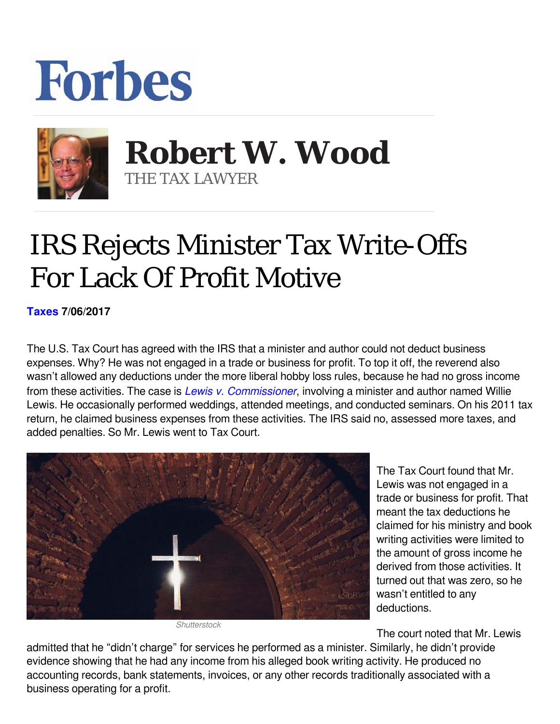## **Forbes**



 **Robert W. Wood** THE TAX LAWYER

## IRS Rejects Minister Tax Write-Offs For Lack Of Profit Motive

**[Taxes](https://www.forbes.com/taxes) 7/06/2017** 

The U.S. Tax Court has agreed with the IRS that a minister and author could not deduct business expenses. Why? He was not engaged in a trade or business for profit. To top it off, the reverend also wasn't allowed any deductions under the more liberal hobby loss rules, because he had no gross income from these activities. The case is *[Lewis v. Commissioner](http://ustaxcourt.gov/UstcInOp/OpinionViewer.aspx?ID=11294)*, involving a minister and author named Willie Lewis. He occasionally performed weddings, attended meetings, and conducted seminars. On his 2011 tax return, he claimed business expenses from these activities. The IRS said no, assessed more taxes, and added penalties. So Mr. Lewis went to Tax Court.



*Shutterstock*

The Tax Court found that Mr. Lewis was not engaged in a trade or business for profit. That meant the tax deductions he claimed for his ministry and book writing activities were limited to the amount of gross income he derived from those activities. It turned out that was zero, so he wasn't entitled to any deductions.

The court noted that Mr. Lewis

admitted that he "didn't charge" for services he performed as a minister. Similarly, he didn't provide evidence showing that he had any income from his alleged book writing activity. He produced no accounting records, bank statements, invoices, or any other records traditionally associated with a business operating for a profit.